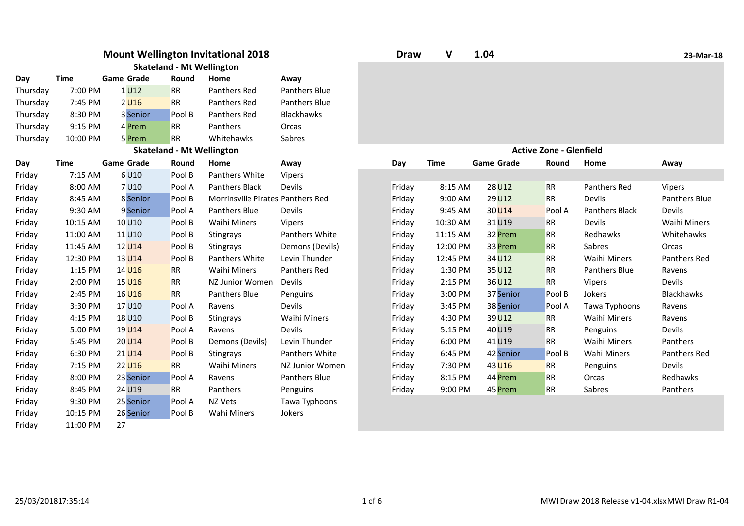|          |             |                   | <b>Skateland - Mt Wellington</b> | <b>Mount Wellington Invitational 2018</b> |                 | <b>Draw</b> | V           | 1.04              |                                |                       | 23-Mar-18           |
|----------|-------------|-------------------|----------------------------------|-------------------------------------------|-----------------|-------------|-------------|-------------------|--------------------------------|-----------------------|---------------------|
| Day      | <b>Time</b> | <b>Game Grade</b> | Round                            | Home                                      | Away            |             |             |                   |                                |                       |                     |
| Thursday | 7:00 PM     | 1U12              | <b>RR</b>                        | Panthers Red                              | Panthers Blue   |             |             |                   |                                |                       |                     |
| Thursday | 7:45 PM     | 2 <sub>U16</sub>  | <b>RR</b>                        | Panthers Red                              | Panthers Blue   |             |             |                   |                                |                       |                     |
| Thursday | 8:30 PM     | 3 Senior          | Pool B                           | Panthers Red                              | Blackhawks      |             |             |                   |                                |                       |                     |
| Thursday | 9:15 PM     | 4 Prem            | <b>RR</b>                        | Panthers                                  | Orcas           |             |             |                   |                                |                       |                     |
| Thursday | 10:00 PM    | 5 Prem            | <b>RR</b>                        | Whitehawks                                | Sabres          |             |             |                   |                                |                       |                     |
|          |             |                   | <b>Skateland - Mt Wellington</b> |                                           |                 |             |             |                   | <b>Active Zone - Glenfield</b> |                       |                     |
| Day      | <b>Time</b> | <b>Game Grade</b> | Round                            | Home                                      | Away            | Day         | <b>Time</b> | <b>Game Grade</b> | Round                          | Home                  | Away                |
| Friday   | 7:15 AM     | 6U10              | Pool B                           | Panthers White                            | Vipers          |             |             |                   |                                |                       |                     |
| Friday   | 8:00 AM     | 7U10              | Pool A                           | <b>Panthers Black</b>                     | Devils          | Friday      | 8:15 AM     | 28 U12            | <b>RR</b>                      | Panthers Red          | Vipers              |
| Friday   | 8:45 AM     | 8 Senior          | Pool B                           | Morrinsville Pirates Panthers Red         |                 | Friday      | 9:00 AM     | 29 U12            | <b>RR</b>                      | Devils                | Panthers Blue       |
| Friday   | 9:30 AM     | 9 Senior          | Pool A                           | Panthers Blue                             | Devils          | Friday      | 9:45 AM     | 30 U14            | Pool A                         | <b>Panthers Black</b> | Devils              |
| Friday   | 10:15 AM    | 10 U10            | Pool B                           | Waihi Miners                              | Vipers          | Friday      | 10:30 AM    | 31 U19            | <b>RR</b>                      | Devils                | <b>Waihi Miners</b> |
| Friday   | 11:00 AM    | 11 U10            | Pool B                           | Stingrays                                 | Panthers White  | Friday      | 11:15 AM    | 32 Prem           | <b>RR</b>                      | Redhawks              | Whitehawks          |
| Friday   | 11:45 AM    | 12 U14            | Pool B                           | Stingrays                                 | Demons (Devils) | Friday      | 12:00 PM    | 33 Prem           | <b>RR</b>                      | Sabres                | Orcas               |
| Friday   | 12:30 PM    | 13 U14            | Pool B                           | <b>Panthers White</b>                     | Levin Thunder   | Friday      | 12:45 PM    | 34 U12            | <b>RR</b>                      | <b>Waihi Miners</b>   | Panthers Red        |
| Friday   | 1:15 PM     | 14 U16            | <b>RR</b>                        | Waihi Miners                              | Panthers Red    | Friday      | 1:30 PM     | 35 U12            | <b>RR</b>                      | Panthers Blue         | Ravens              |
| Friday   | 2:00 PM     | 15 U16            | <b>RR</b>                        | NZ Junior Women                           | Devils          | Friday      | 2:15 PM     | 36 U12            | <b>RR</b>                      | <b>Vipers</b>         | Devils              |
| Friday   | 2:45 PM     | 16 U16            | <b>RR</b>                        | <b>Panthers Blue</b>                      | Penguins        | Friday      | 3:00 PM     | 37 Senior         | Pool B                         | Jokers                | <b>Blackhawks</b>   |
| Friday   | 3:30 PM     | 17 U10            | Pool A                           | Ravens                                    | Devils          | Friday      | 3:45 PM     | 38 Senior         | Pool A                         | Tawa Typhoons         | Ravens              |
| Friday   | 4:15 PM     | 18 U10            | Pool B                           | Stingrays                                 | Waihi Miners    | Friday      | 4:30 PM     | 39 U12            | <b>RR</b>                      | Waihi Miners          | Ravens              |
| Friday   | 5:00 PM     | 19 U14            | Pool A                           | Ravens                                    | Devils          | Friday      | 5:15 PM     | 40 U19            | RR                             | Penguins              | Devils              |
| Friday   | 5:45 PM     | 20 U14            | Pool B                           | Demons (Devils)                           | Levin Thunder   | Friday      | 6:00 PM     | 41 U19            | <b>RR</b>                      | <b>Waihi Miners</b>   | Panthers            |
| Friday   | 6:30 PM     | 21 U14            | Pool B                           | <b>Stingrays</b>                          | Panthers White  | Friday      | 6:45 PM     | 42 Senior         | Pool B                         | Wahi Miners           | Panthers Red        |
| Friday   | 7:15 PM     | 22 U16            | <b>RR</b>                        | Waihi Miners                              | NZ Junior Women | Friday      | 7:30 PM     | 43 U16            | <b>RR</b>                      | Penguins              | Devils              |
| Friday   | 8:00 PM     | 23 Senior         | Pool A                           | Ravens                                    | Panthers Blue   | Friday      | 8:15 PM     | 44 Prem           | <b>RR</b>                      | Orcas                 | Redhawks            |
| Friday   | 8:45 PM     | 24 U19            | <b>RR</b>                        | Panthers                                  | Penguins        | Friday      | 9:00 PM     | 45 Prem           | <b>RR</b>                      | Sabres                | Panthers            |
| Friday   | 9:30 PM     | 25 Senior         | Pool A                           | NZ Vets                                   | Tawa Typhoons   |             |             |                   |                                |                       |                     |
| Friday   | 10:15 PM    | 26 Senior         | Pool B                           | Wahi Miners                               | Jokers          |             |             |                   |                                |                       |                     |
| Friday   | 11:00 PM    | 27                |                                  |                                           |                 |             |             |                   |                                |                       |                     |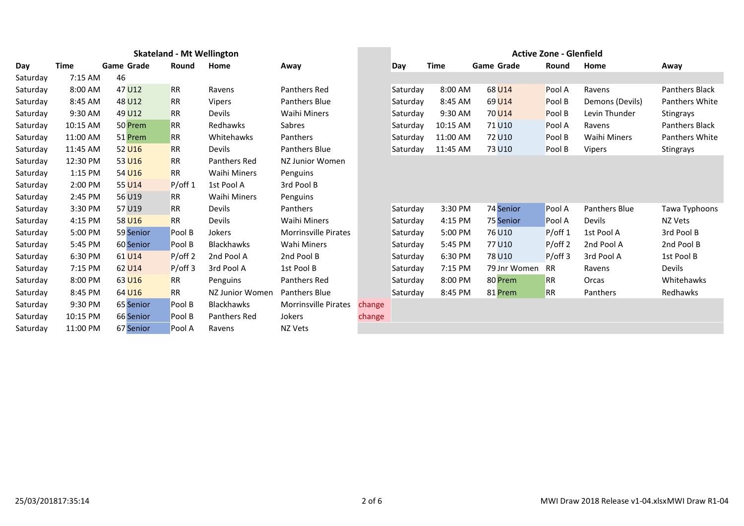|          | <b>Skateland - Mt Wellington</b> |                   |            |                     |                             |        | <b>Active Zone - Glenfield</b> |             |                   |            |                 |                       |
|----------|----------------------------------|-------------------|------------|---------------------|-----------------------------|--------|--------------------------------|-------------|-------------------|------------|-----------------|-----------------------|
| Day      | <b>Time</b>                      | <b>Game Grade</b> | Round      | Home                | Away                        |        | Day                            | <b>Time</b> | <b>Game Grade</b> | Round      | Home            | Away                  |
| Saturday | 7:15 AM                          | 46                |            |                     |                             |        |                                |             |                   |            |                 |                       |
| Saturday | 8:00 AM                          | 47 U12            | <b>RR</b>  | Ravens              | Panthers Red                |        | Saturday                       | 8:00 AM     | 68 U14            | Pool A     | Ravens          | <b>Panthers Black</b> |
| Saturday | 8:45 AM                          | 48 U12            | <b>RR</b>  | <b>Vipers</b>       | <b>Panthers Blue</b>        |        | Saturday                       | 8:45 AM     | 69 U14            | Pool B     | Demons (Devils) | <b>Panthers White</b> |
| Saturday | 9:30 AM                          | 49 U12            | <b>RR</b>  | Devils              | Waihi Miners                |        | Saturday                       | 9:30 AM     | 70 U14            | Pool B     | Levin Thunder   | <b>Stingrays</b>      |
| Saturday | 10:15 AM                         | 50 Prem           | <b>RR</b>  | Redhawks            | Sabres                      |        | Saturday                       | 10:15 AM    | 71 U10            | Pool A     | Ravens          | <b>Panthers Black</b> |
| Saturday | 11:00 AM                         | 51 Prem           | <b>RR</b>  | Whitehawks          | Panthers                    |        | Saturday                       | 11:00 AM    | 72 U10            | Pool B     | Waihi Miners    | <b>Panthers White</b> |
| Saturday | 11:45 AM                         | 52 U16            | <b>RR</b>  | <b>Devils</b>       | <b>Panthers Blue</b>        |        | Saturday                       | 11:45 AM    | 73 U10            | Pool B     | <b>Vipers</b>   | <b>Stingrays</b>      |
| Saturday | 12:30 PM                         | 53 U16            | <b>RR</b>  | Panthers Red        | NZ Junior Women             |        |                                |             |                   |            |                 |                       |
| Saturday | 1:15 PM                          | 54 U16            | <b>RR</b>  | <b>Waihi Miners</b> | Penguins                    |        |                                |             |                   |            |                 |                       |
| Saturday | 2:00 PM                          | 55 U14            | $P$ /off 1 | 1st Pool A          | 3rd Pool B                  |        |                                |             |                   |            |                 |                       |
| Saturday | 2:45 PM                          | 56 U19            | <b>RR</b>  | Waihi Miners        | Penguins                    |        |                                |             |                   |            |                 |                       |
| Saturday | 3:30 PM                          | 57 U19            | <b>RR</b>  | <b>Devils</b>       | Panthers                    |        | Saturday                       | 3:30 PM     | 74 Senior         | Pool A     | Panthers Blue   | Tawa Typhoons         |
| Saturday | 4:15 PM                          | 58 U16            | <b>RR</b>  | <b>Devils</b>       | <b>Waihi Miners</b>         |        | Saturday                       | 4:15 PM     | 75 Senior         | Pool A     | <b>Devils</b>   | NZ Vets               |
| Saturday | 5:00 PM                          | 59 Senior         | Pool B     | Jokers              | <b>Morrinsville Pirates</b> |        | Saturday                       | 5:00 PM     | 76 U10            | $P$ /off 1 | 1st Pool A      | 3rd Pool B            |
| Saturday | 5:45 PM                          | 60 Senior         | Pool B     | <b>Blackhawks</b>   | Wahi Miners                 |        | Saturday                       | 5:45 PM     | 77 U10            | P/off 2    | 2nd Pool A      | 2nd Pool B            |
| Saturday | 6:30 PM                          | 61 U14            | $P/$ off 2 | 2nd Pool A          | 2nd Pool B                  |        | Saturday                       | 6:30 PM     | 78 U10            | $P$ /off 3 | 3rd Pool A      | 1st Pool B            |
| Saturday | 7:15 PM                          | 62 U14            | $P/$ off 3 | 3rd Pool A          | 1st Pool B                  |        | Saturday                       | 7:15 PM     | 79 Jnr Womer      | <b>RR</b>  | Ravens          | Devils                |
| Saturday | 8:00 PM                          | 63 U16            | <b>RR</b>  | Penguins            | Panthers Red                |        | Saturday                       | 8:00 PM     | 80 Prem           | <b>RR</b>  | Orcas           | Whitehawks            |
| Saturday | 8:45 PM                          | 64 U16            | <b>RR</b>  | NZ Junior Women     | <b>Panthers Blue</b>        |        | Saturday                       | 8:45 PM     | 81 Prem           | <b>RR</b>  | Panthers        | Redhawks              |
| Saturday | 9:30 PM                          | 65 Senior         | Pool B     | <b>Blackhawks</b>   | <b>Morrinsville Pirates</b> | change |                                |             |                   |            |                 |                       |
| Saturday | 10:15 PM                         | 66 Senior         | Pool B     | Panthers Red        | Jokers                      | change |                                |             |                   |            |                 |                       |
| Saturday | 11:00 PM                         | 67 Senior         | Pool A     | Ravens              | NZ Vets                     |        |                                |             |                   |            |                 |                       |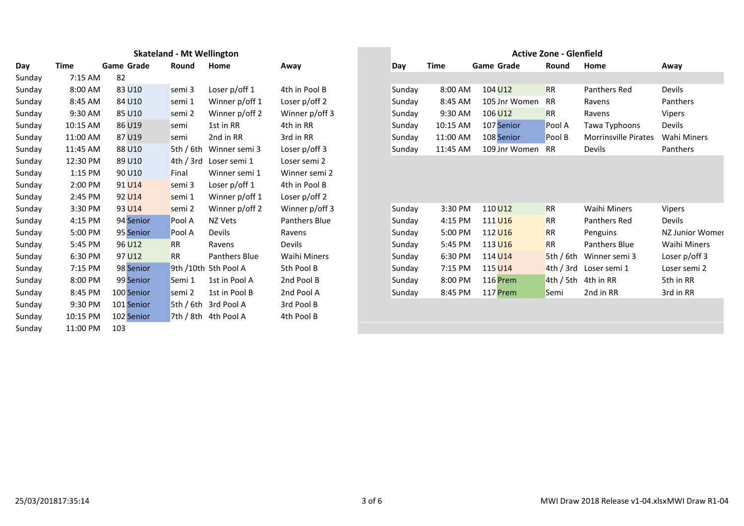|        |          |                   | <b>Skateland - Mt Wellington</b> |                      |                     |
|--------|----------|-------------------|----------------------------------|----------------------|---------------------|
|        | Time     | <b>Game Grade</b> | Round                            | Home                 | Away                |
| Sunday | 7:15 AM  | 82                |                                  |                      |                     |
|        | 8:00 AM  | 83 U10            | semi 3                           | Loser p/off 1        | 4th in Pool B       |
| Sunday | 8:45 AM  | 84 U10            | semi 1                           | Winner p/off 1       | Loser p/off 2       |
| Sunday | 9:30 AM  | 85 U10            | semi 2                           | Winner p/off 2       | Winner p/off 3      |
| Sunday | 10:15 AM | 86 U19            | semi                             | 1st in RR            | 4th in RR           |
| Sunday | 11:00 AM | 87 U19            | semi                             | 2nd in RR            | 3rd in RR           |
| Sunday | 11:45 AM | 88 U10            | 5th / $6th$                      | Winner semi 3        | Loser $p$ /off 3    |
| Sunday | 12:30 PM | 89 U10            | 4th/3rd                          | Loser semi 1         | Loser semi 2        |
| Sunday | 1:15 PM  | 90 U10            | Final                            | Winner semi 1        | Winner semi 2       |
| Sunday | 2:00 PM  | 91 U14            | semi 3                           | Loser $p$ /off 1     | 4th in Pool B       |
| Sunday | 2:45 PM  | 92 U14            | semi 1                           | Winner p/off 1       | Loser p/off 2       |
| Sunday | 3:30 PM  | 93 U14            | semi 2                           | Winner p/off 2       | Winner p/off 3      |
| Sunday | 4:15 PM  | 94 Senior         | Pool A                           | NZ Vets              | Panthers Blue       |
| Sunday | 5:00 PM  | 95 Senior         | Pool A                           | Devils               | Ravens              |
| Sunday | 5:45 PM  | 96 U12            | <b>RR</b>                        | Ravens               | Devils              |
| Sunday | 6:30 PM  | 97 U12            | <b>RR</b>                        | Panthers Blue        | <b>Waihi Miners</b> |
| Sunday | 7:15 PM  | 98 Senior         |                                  | 9th /10th 5th Pool A | 5th Pool B          |
| Sunday | 8:00 PM  | 99 Senior         | Semi 1                           | 1st in Pool A        | 2nd Pool B          |
| Sunday | 8:45 PM  | 100 Senior        | semi 2                           | 1st in Pool B        | 2nd Pool A          |
| Sunday | 9:30 PM  | 101 Senior        |                                  | 5th / 6th 3rd Pool A | 3rd Pool B          |
| Sunday | 10:15 PM | 102 Senior        |                                  | 7th / 8th 4th Pool A | 4th Pool B          |
| Sunday | 11:00 PM | 103               |                                  |                      |                     |